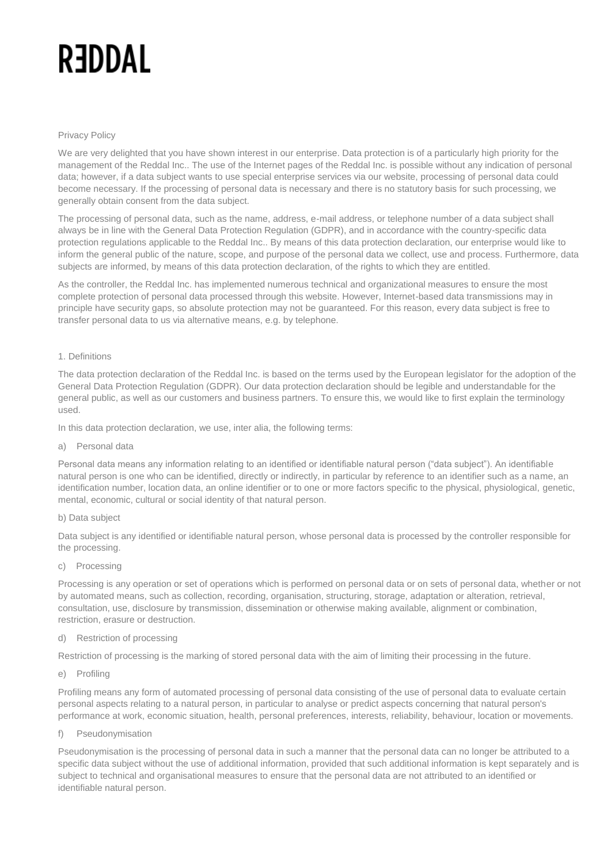# RADDAI

### Privacy Policy

We are very delighted that you have shown interest in our enterprise. Data protection is of a particularly high priority for the management of the Reddal Inc.. The use of the Internet pages of the Reddal Inc. is possible without any indication of personal data; however, if a data subject wants to use special enterprise services via our website, processing of personal data could become necessary. If the processing of personal data is necessary and there is no statutory basis for such processing, we generally obtain consent from the data subject.

The processing of personal data, such as the name, address, e-mail address, or telephone number of a data subject shall always be in line with the General Data Protection Regulation (GDPR), and in accordance with the country-specific data protection regulations applicable to the Reddal Inc.. By means of this data protection declaration, our enterprise would like to inform the general public of the nature, scope, and purpose of the personal data we collect, use and process. Furthermore, data subjects are informed, by means of this data protection declaration, of the rights to which they are entitled.

As the controller, the Reddal Inc. has implemented numerous technical and organizational measures to ensure the most complete protection of personal data processed through this website. However, Internet-based data transmissions may in principle have security gaps, so absolute protection may not be guaranteed. For this reason, every data subject is free to transfer personal data to us via alternative means, e.g. by telephone.

## 1. Definitions

The data protection declaration of the Reddal Inc. is based on the terms used by the European legislator for the adoption of the General Data Protection Regulation (GDPR). Our data protection declaration should be legible and understandable for the general public, as well as our customers and business partners. To ensure this, we would like to first explain the terminology used.

In this data protection declaration, we use, inter alia, the following terms:

a) Personal data

Personal data means any information relating to an identified or identifiable natural person ("data subject"). An identifiable natural person is one who can be identified, directly or indirectly, in particular by reference to an identifier such as a name, an identification number, location data, an online identifier or to one or more factors specific to the physical, physiological, genetic, mental, economic, cultural or social identity of that natural person.

## b) Data subject

Data subject is any identified or identifiable natural person, whose personal data is processed by the controller responsible for the processing.

## c) Processing

Processing is any operation or set of operations which is performed on personal data or on sets of personal data, whether or not by automated means, such as collection, recording, organisation, structuring, storage, adaptation or alteration, retrieval, consultation, use, disclosure by transmission, dissemination or otherwise making available, alignment or combination, restriction, erasure or destruction.

## d) Restriction of processing

Restriction of processing is the marking of stored personal data with the aim of limiting their processing in the future.

e) Profiling

Profiling means any form of automated processing of personal data consisting of the use of personal data to evaluate certain personal aspects relating to a natural person, in particular to analyse or predict aspects concerning that natural person's performance at work, economic situation, health, personal preferences, interests, reliability, behaviour, location or movements.

f) Pseudonymisation

Pseudonymisation is the processing of personal data in such a manner that the personal data can no longer be attributed to a specific data subject without the use of additional information, provided that such additional information is kept separately and is subject to technical and organisational measures to ensure that the personal data are not attributed to an identified or identifiable natural person.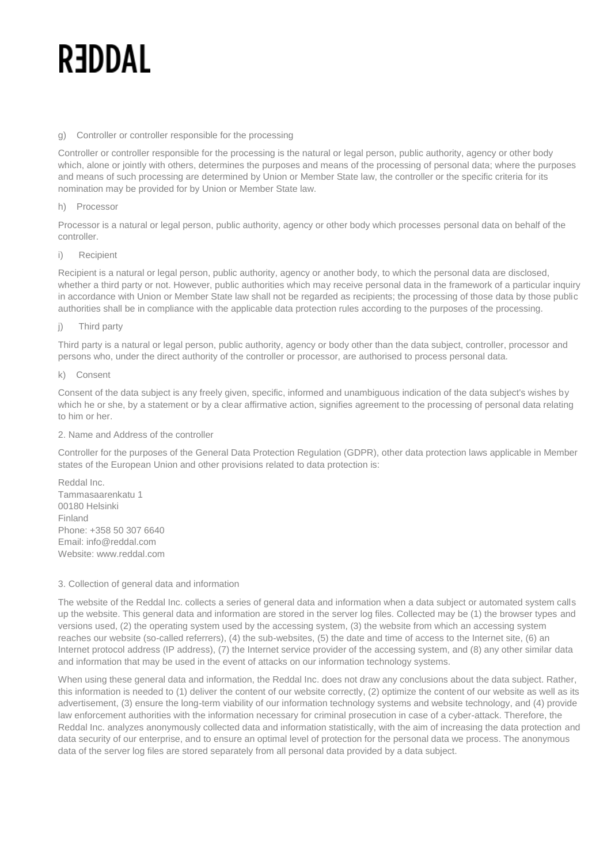### g) Controller or controller responsible for the processing

Controller or controller responsible for the processing is the natural or legal person, public authority, agency or other body which, alone or jointly with others, determines the purposes and means of the processing of personal data; where the purposes and means of such processing are determined by Union or Member State law, the controller or the specific criteria for its nomination may be provided for by Union or Member State law.

### h) Processor

Processor is a natural or legal person, public authority, agency or other body which processes personal data on behalf of the controller.

## i) Recipient

Recipient is a natural or legal person, public authority, agency or another body, to which the personal data are disclosed, whether a third party or not. However, public authorities which may receive personal data in the framework of a particular inquiry in accordance with Union or Member State law shall not be regarded as recipients; the processing of those data by those public authorities shall be in compliance with the applicable data protection rules according to the purposes of the processing.

## j) Third party

Third party is a natural or legal person, public authority, agency or body other than the data subject, controller, processor and persons who, under the direct authority of the controller or processor, are authorised to process personal data.

### k) Consent

Consent of the data subject is any freely given, specific, informed and unambiguous indication of the data subject's wishes by which he or she, by a statement or by a clear affirmative action, signifies agreement to the processing of personal data relating to him or her.

## 2. Name and Address of the controller

Controller for the purposes of the General Data Protection Regulation (GDPR), other data protection laws applicable in Member states of the European Union and other provisions related to data protection is:

Reddal Inc. Tammasaarenkatu 1 00180 Helsinki Finland Phone: +358 50 307 6640 Email: info@reddal.com Website: www.reddal.com

#### 3. Collection of general data and information

The website of the Reddal Inc. collects a series of general data and information when a data subject or automated system calls up the website. This general data and information are stored in the server log files. Collected may be (1) the browser types and versions used, (2) the operating system used by the accessing system, (3) the website from which an accessing system reaches our website (so-called referrers), (4) the sub-websites, (5) the date and time of access to the Internet site, (6) an Internet protocol address (IP address), (7) the Internet service provider of the accessing system, and (8) any other similar data and information that may be used in the event of attacks on our information technology systems.

When using these general data and information, the Reddal Inc. does not draw any conclusions about the data subject. Rather, this information is needed to (1) deliver the content of our website correctly, (2) optimize the content of our website as well as its advertisement, (3) ensure the long-term viability of our information technology systems and website technology, and (4) provide law enforcement authorities with the information necessary for criminal prosecution in case of a cyber-attack. Therefore, the Reddal Inc. analyzes anonymously collected data and information statistically, with the aim of increasing the data protection and data security of our enterprise, and to ensure an optimal level of protection for the personal data we process. The anonymous data of the server log files are stored separately from all personal data provided by a data subject.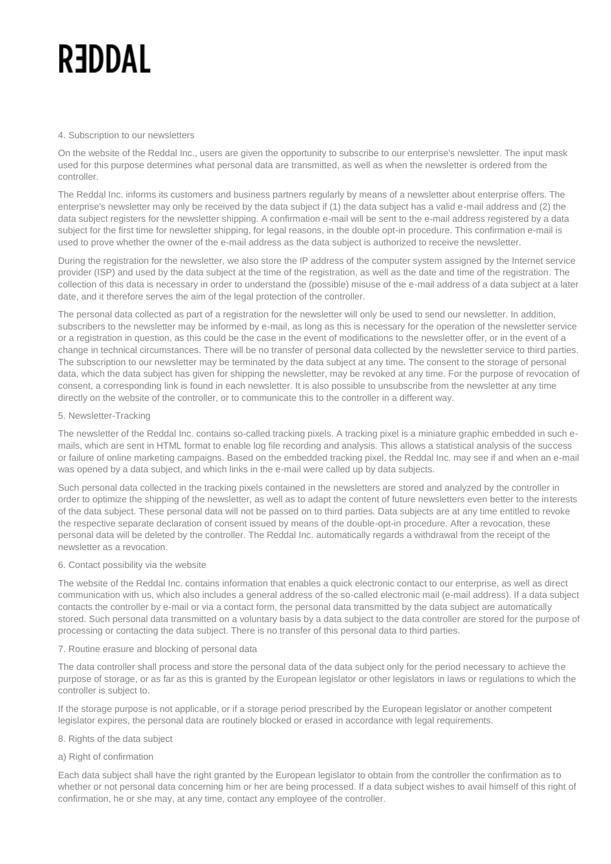#### 4. Subscription to our newsletters

On the website of the Reddal Inc., users are given the opportunity to subscribe to our enterprise's newsletter. The input mask used for this purpose determines what personal data are transmitted, as well as when the newsletter is ordered from the controller.

The Reddal Inc. informs its customers and business partners regularly by means of a newsletter about enterprise offers. The enterprise's newsletter may only be received by the data subject if (1) the data subject has a valid e-mail address and (2) the data subject registers for the newsletter shipping. A confirmation e-mail will be sent to the e-mail address registered by a data subject for the first time for newsletter shipping, for legal reasons, in the double opt-in procedure. This confirmation e-mail is used to prove whether the owner of the e-mail address as the data subject is authorized to receive the newsletter.

During the registration for the newsletter, we also store the IP address of the computer system assigned by the Internet service provider (ISP) and used by the data subject at the time of the registration, as well as the date and time of the registration. The collection of this data is necessary in order to understand the (possible) misuse of the e-mail address of a data subject at a later date, and it therefore serves the aim of the legal protection of the controller.

The personal data collected as part of a registration for the newsletter will only be used to send our newsletter. In addition, subscribers to the newsletter may be informed by e-mail, as long as this is necessary for the operation of the newsletter service or a registration in question, as this could be the case in the event of modifications to the newsletter offer, or in the event of a change in technical circumstances. There will be no transfer of personal data collected by the newsletter service to third parties. The subscription to our newsletter may be terminated by the data subject at any time. The consent to the storage of personal data, which the data subject has given for shipping the newsletter, may be revoked at any time. For the purpose of revocation of consent, a corresponding link is found in each newsletter. It is also possible to unsubscribe from the newsletter at any time directly on the website of the controller, or to communicate this to the controller in a different way.

## 5. Newsletter-Tracking

The newsletter of the Reddal Inc. contains so-called tracking pixels. A tracking pixel is a miniature graphic embedded in such emails, which are sent in HTML format to enable log file recording and analysis. This allows a statistical analysis of the success or failure of online marketing campaigns. Based on the embedded tracking pixel, the Reddal Inc. may see if and when an e-mail was opened by a data subject, and which links in the e-mail were called up by data subjects.

Such personal data collected in the tracking pixels contained in the newsletters are stored and analyzed by the controller in order to optimize the shipping of the newsletter, as well as to adapt the content of future newsletters even better to the interests of the data subject. These personal data will not be passed on to third parties. Data subjects are at any time entitled to revoke the respective separate declaration of consent issued by means of the double-opt-in procedure. After a revocation, these personal data will be deleted by the controller. The Reddal Inc. automatically regards a withdrawal from the receipt of the newsletter as a revocation.

## 6. Contact possibility via the website

The website of the Reddal Inc. contains information that enables a quick electronic contact to our enterprise, as well as direct communication with us, which also includes a general address of the so-called electronic mail (e-mail address). If a data subject contacts the controller by e-mail or via a contact form, the personal data transmitted by the data subject are automatically stored. Such personal data transmitted on a voluntary basis by a data subject to the data controller are stored for the purpose of processing or contacting the data subject. There is no transfer of this personal data to third parties.

## 7. Routine erasure and blocking of personal data

The data controller shall process and store the personal data of the data subject only for the period necessary to achieve the purpose of storage, or as far as this is granted by the European legislator or other legislators in laws or regulations to which the controller is subject to.

If the storage purpose is not applicable, or if a storage period prescribed by the European legislator or another competent legislator expires, the personal data are routinely blocked or erased in accordance with legal requirements.

## 8. Rights of the data subject

## a) Right of confirmation

Each data subject shall have the right granted by the European legislator to obtain from the controller the confirmation as to whether or not personal data concerning him or her are being processed. If a data subject wishes to avail himself of this right of confirmation, he or she may, at any time, contact any employee of the controller.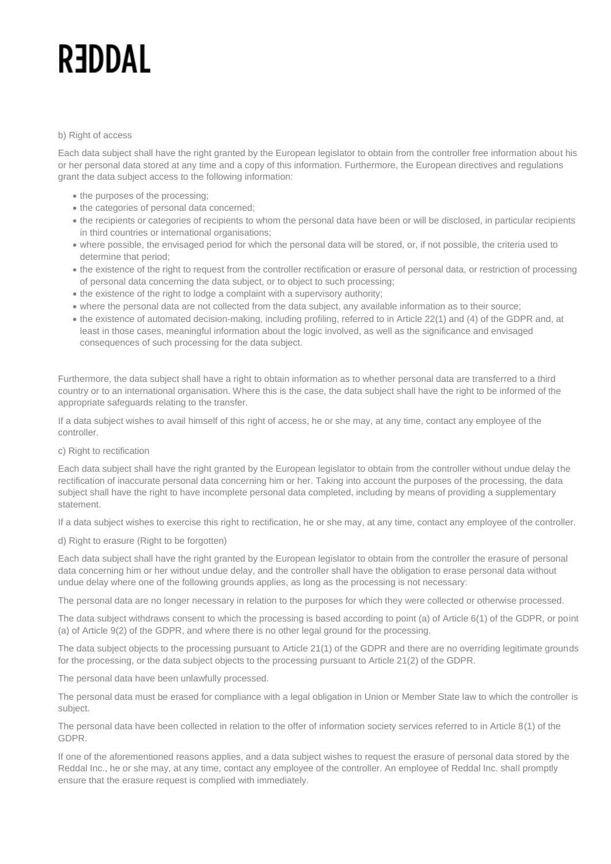# RADDAI

#### b) Right of access

Each data subject shall have the right granted by the European legislator to obtain from the controller free information about his or her personal data stored at any time and a copy of this information. Furthermore, the European directives and regulations grant the data subject access to the following information:

- the purposes of the processing;
- the categories of personal data concerned;
- the recipients or categories of recipients to whom the personal data have been or will be disclosed, in particular recipients in third countries or international organisations;
- where possible, the envisaged period for which the personal data will be stored, or, if not possible, the criteria used to determine that period;
- the existence of the right to request from the controller rectification or erasure of personal data, or restriction of processing of personal data concerning the data subject, or to object to such processing;
- the existence of the right to lodge a complaint with a supervisory authority;
- where the personal data are not collected from the data subject, any available information as to their source;
- the existence of automated decision-making, including profiling, referred to in Article 22(1) and (4) of the GDPR and, at least in those cases, meaningful information about the logic involved, as well as the significance and envisaged consequences of such processing for the data subject.

Furthermore, the data subject shall have a right to obtain information as to whether personal data are transferred to a third country or to an international organisation. Where this is the case, the data subject shall have the right to be informed of the appropriate safeguards relating to the transfer.

If a data subject wishes to avail himself of this right of access, he or she may, at any time, contact any employee of the controller.

#### c) Right to rectification

Each data subject shall have the right granted by the European legislator to obtain from the controller without undue delay the rectification of inaccurate personal data concerning him or her. Taking into account the purposes of the processing, the data subject shall have the right to have incomplete personal data completed, including by means of providing a supplementary statement.

If a data subject wishes to exercise this right to rectification, he or she may, at any time, contact any employee of the controller.

## d) Right to erasure (Right to be forgotten)

Each data subject shall have the right granted by the European legislator to obtain from the controller the erasure of personal data concerning him or her without undue delay, and the controller shall have the obligation to erase personal data without undue delay where one of the following grounds applies, as long as the processing is not necessary:

The personal data are no longer necessary in relation to the purposes for which they were collected or otherwise processed.

The data subject withdraws consent to which the processing is based according to point (a) of Article 6(1) of the GDPR, or point (a) of Article 9(2) of the GDPR, and where there is no other legal ground for the processing.

The data subject objects to the processing pursuant to Article 21(1) of the GDPR and there are no overriding legitimate grounds for the processing, or the data subject objects to the processing pursuant to Article 21(2) of the GDPR.

The personal data have been unlawfully processed.

The personal data must be erased for compliance with a legal obligation in Union or Member State law to which the controller is subject.

The personal data have been collected in relation to the offer of information society services referred to in Article 8(1) of the GDPR.

If one of the aforementioned reasons applies, and a data subject wishes to request the erasure of personal data stored by the Reddal Inc., he or she may, at any time, contact any employee of the controller. An employee of Reddal Inc. shall promptly ensure that the erasure request is complied with immediately.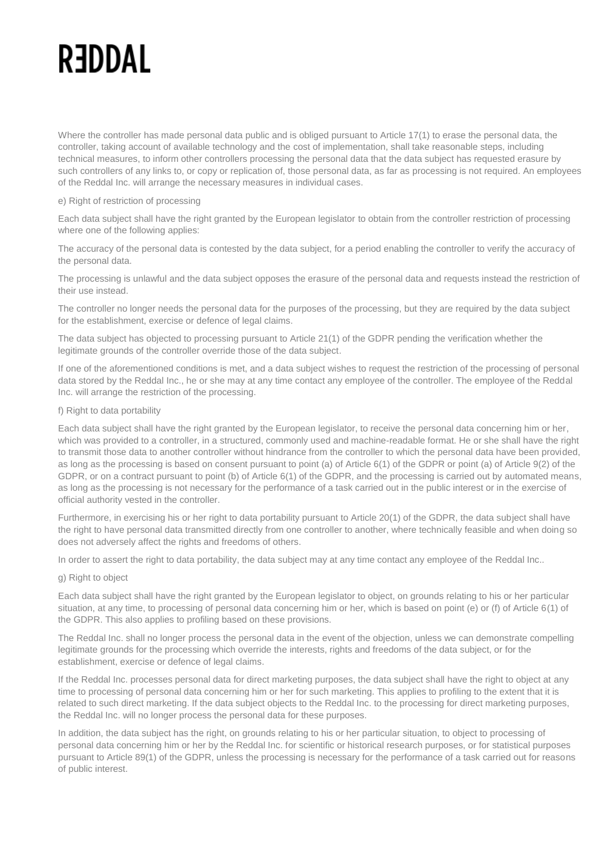Where the controller has made personal data public and is obliged pursuant to Article 17(1) to erase the personal data, the controller, taking account of available technology and the cost of implementation, shall take reasonable steps, including technical measures, to inform other controllers processing the personal data that the data subject has requested erasure by such controllers of any links to, or copy or replication of, those personal data, as far as processing is not required. An employees of the Reddal Inc. will arrange the necessary measures in individual cases.

### e) Right of restriction of processing

Each data subject shall have the right granted by the European legislator to obtain from the controller restriction of processing where one of the following applies:

The accuracy of the personal data is contested by the data subject, for a period enabling the controller to verify the accuracy of the personal data.

The processing is unlawful and the data subject opposes the erasure of the personal data and requests instead the restriction of their use instead.

The controller no longer needs the personal data for the purposes of the processing, but they are required by the data subject for the establishment, exercise or defence of legal claims.

The data subject has objected to processing pursuant to Article 21(1) of the GDPR pending the verification whether the legitimate grounds of the controller override those of the data subject.

If one of the aforementioned conditions is met, and a data subject wishes to request the restriction of the processing of personal data stored by the Reddal Inc., he or she may at any time contact any employee of the controller. The employee of the Reddal Inc. will arrange the restriction of the processing.

## f) Right to data portability

Each data subject shall have the right granted by the European legislator, to receive the personal data concerning him or her, which was provided to a controller, in a structured, commonly used and machine-readable format. He or she shall have the right to transmit those data to another controller without hindrance from the controller to which the personal data have been provided, as long as the processing is based on consent pursuant to point (a) of Article 6(1) of the GDPR or point (a) of Article 9(2) of the GDPR, or on a contract pursuant to point (b) of Article 6(1) of the GDPR, and the processing is carried out by automated means, as long as the processing is not necessary for the performance of a task carried out in the public interest or in the exercise of official authority vested in the controller.

Furthermore, in exercising his or her right to data portability pursuant to Article 20(1) of the GDPR, the data subject shall have the right to have personal data transmitted directly from one controller to another, where technically feasible and when doing so does not adversely affect the rights and freedoms of others.

In order to assert the right to data portability, the data subject may at any time contact any employee of the Reddal Inc..

## g) Right to object

Each data subject shall have the right granted by the European legislator to object, on grounds relating to his or her particular situation, at any time, to processing of personal data concerning him or her, which is based on point (e) or (f) of Article 6(1) of the GDPR. This also applies to profiling based on these provisions.

The Reddal Inc. shall no longer process the personal data in the event of the objection, unless we can demonstrate compelling legitimate grounds for the processing which override the interests, rights and freedoms of the data subject, or for the establishment, exercise or defence of legal claims.

If the Reddal Inc. processes personal data for direct marketing purposes, the data subject shall have the right to object at any time to processing of personal data concerning him or her for such marketing. This applies to profiling to the extent that it is related to such direct marketing. If the data subject objects to the Reddal Inc. to the processing for direct marketing purposes, the Reddal Inc. will no longer process the personal data for these purposes.

In addition, the data subject has the right, on grounds relating to his or her particular situation, to object to processing of personal data concerning him or her by the Reddal Inc. for scientific or historical research purposes, or for statistical purposes pursuant to Article 89(1) of the GDPR, unless the processing is necessary for the performance of a task carried out for reasons of public interest.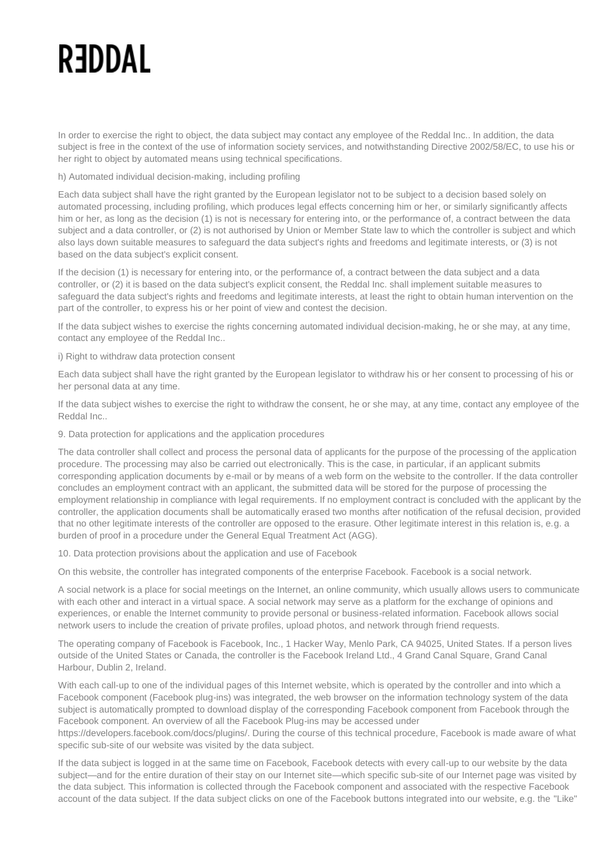In order to exercise the right to object, the data subject may contact any employee of the Reddal Inc.. In addition, the data subject is free in the context of the use of information society services, and notwithstanding Directive 2002/58/EC, to use his or her right to object by automated means using technical specifications.

h) Automated individual decision-making, including profiling

Each data subject shall have the right granted by the European legislator not to be subject to a decision based solely on automated processing, including profiling, which produces legal effects concerning him or her, or similarly significantly affects him or her, as long as the decision (1) is not is necessary for entering into, or the performance of, a contract between the data subject and a data controller, or (2) is not authorised by Union or Member State law to which the controller is subject and which also lays down suitable measures to safeguard the data subject's rights and freedoms and legitimate interests, or (3) is not based on the data subject's explicit consent.

If the decision (1) is necessary for entering into, or the performance of, a contract between the data subject and a data controller, or (2) it is based on the data subject's explicit consent, the Reddal Inc. shall implement suitable measures to safeguard the data subject's rights and freedoms and legitimate interests, at least the right to obtain human intervention on the part of the controller, to express his or her point of view and contest the decision.

If the data subject wishes to exercise the rights concerning automated individual decision-making, he or she may, at any time, contact any employee of the Reddal Inc..

i) Right to withdraw data protection consent

Each data subject shall have the right granted by the European legislator to withdraw his or her consent to processing of his or her personal data at any time.

If the data subject wishes to exercise the right to withdraw the consent, he or she may, at any time, contact any employee of the Reddal Inc..

9. Data protection for applications and the application procedures

The data controller shall collect and process the personal data of applicants for the purpose of the processing of the application procedure. The processing may also be carried out electronically. This is the case, in particular, if an applicant submits corresponding application documents by e-mail or by means of a web form on the website to the controller. If the data controller concludes an employment contract with an applicant, the submitted data will be stored for the purpose of processing the employment relationship in compliance with legal requirements. If no employment contract is concluded with the applicant by the controller, the application documents shall be automatically erased two months after notification of the refusal decision, provided that no other legitimate interests of the controller are opposed to the erasure. Other legitimate interest in this relation is, e.g. a burden of proof in a procedure under the General Equal Treatment Act (AGG).

10. Data protection provisions about the application and use of Facebook

On this website, the controller has integrated components of the enterprise Facebook. Facebook is a social network.

A social network is a place for social meetings on the Internet, an online community, which usually allows users to communicate with each other and interact in a virtual space. A social network may serve as a platform for the exchange of opinions and experiences, or enable the Internet community to provide personal or business-related information. Facebook allows social network users to include the creation of private profiles, upload photos, and network through friend requests.

The operating company of Facebook is Facebook, Inc., 1 Hacker Way, Menlo Park, CA 94025, United States. If a person lives outside of the United States or Canada, the controller is the Facebook Ireland Ltd., 4 Grand Canal Square, Grand Canal Harbour, Dublin 2, Ireland.

With each call-up to one of the individual pages of this Internet website, which is operated by the controller and into which a Facebook component (Facebook plug-ins) was integrated, the web browser on the information technology system of the data subject is automatically prompted to download display of the corresponding Facebook component from Facebook through the Facebook component. An overview of all the Facebook Plug-ins may be accessed under

https://developers.facebook.com/docs/plugins/. During the course of this technical procedure, Facebook is made aware of what specific sub-site of our website was visited by the data subject.

If the data subject is logged in at the same time on Facebook, Facebook detects with every call-up to our website by the data subject—and for the entire duration of their stay on our Internet site—which specific sub-site of our Internet page was visited by the data subject. This information is collected through the Facebook component and associated with the respective Facebook account of the data subject. If the data subject clicks on one of the Facebook buttons integrated into our website, e.g. the "Like"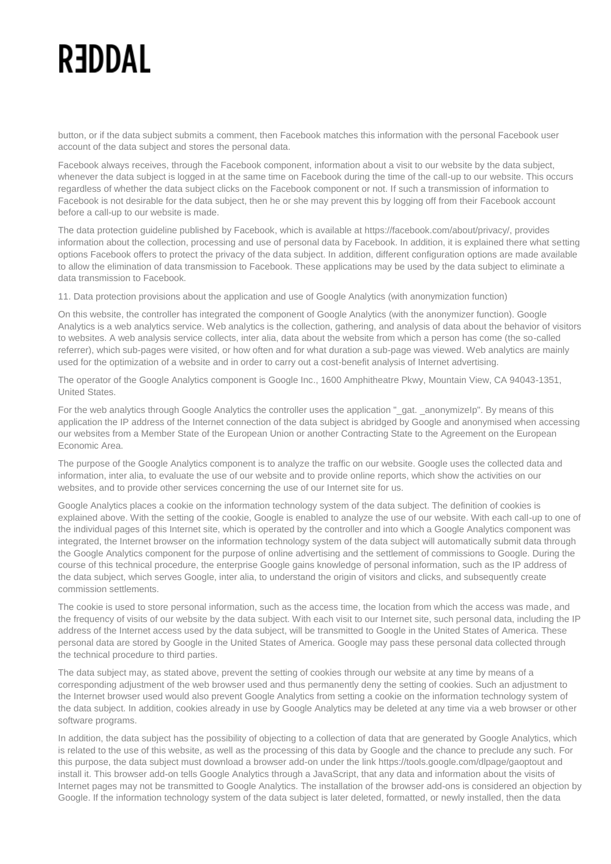button, or if the data subject submits a comment, then Facebook matches this information with the personal Facebook user account of the data subject and stores the personal data.

Facebook always receives, through the Facebook component, information about a visit to our website by the data subject, whenever the data subject is logged in at the same time on Facebook during the time of the call-up to our website. This occurs regardless of whether the data subject clicks on the Facebook component or not. If such a transmission of information to Facebook is not desirable for the data subject, then he or she may prevent this by logging off from their Facebook account before a call-up to our website is made.

The data protection guideline published by Facebook, which is available at https://facebook.com/about/privacy/, provides information about the collection, processing and use of personal data by Facebook. In addition, it is explained there what setting options Facebook offers to protect the privacy of the data subject. In addition, different configuration options are made available to allow the elimination of data transmission to Facebook. These applications may be used by the data subject to eliminate a data transmission to Facebook.

11. Data protection provisions about the application and use of Google Analytics (with anonymization function)

On this website, the controller has integrated the component of Google Analytics (with the anonymizer function). Google Analytics is a web analytics service. Web analytics is the collection, gathering, and analysis of data about the behavior of visitors to websites. A web analysis service collects, inter alia, data about the website from which a person has come (the so-called referrer), which sub-pages were visited, or how often and for what duration a sub-page was viewed. Web analytics are mainly used for the optimization of a website and in order to carry out a cost-benefit analysis of Internet advertising.

The operator of the Google Analytics component is Google Inc., 1600 Amphitheatre Pkwy, Mountain View, CA 94043-1351, United States.

For the web analytics through Google Analytics the controller uses the application "\_gat. \_anonymizeIp". By means of this application the IP address of the Internet connection of the data subject is abridged by Google and anonymised when accessing our websites from a Member State of the European Union or another Contracting State to the Agreement on the European Economic Area.

The purpose of the Google Analytics component is to analyze the traffic on our website. Google uses the collected data and information, inter alia, to evaluate the use of our website and to provide online reports, which show the activities on our websites, and to provide other services concerning the use of our Internet site for us.

Google Analytics places a cookie on the information technology system of the data subject. The definition of cookies is explained above. With the setting of the cookie, Google is enabled to analyze the use of our website. With each call-up to one of the individual pages of this Internet site, which is operated by the controller and into which a Google Analytics component was integrated, the Internet browser on the information technology system of the data subject will automatically submit data through the Google Analytics component for the purpose of online advertising and the settlement of commissions to Google. During the course of this technical procedure, the enterprise Google gains knowledge of personal information, such as the IP address of the data subject, which serves Google, inter alia, to understand the origin of visitors and clicks, and subsequently create commission settlements.

The cookie is used to store personal information, such as the access time, the location from which the access was made, and the frequency of visits of our website by the data subject. With each visit to our Internet site, such personal data, including the IP address of the Internet access used by the data subject, will be transmitted to Google in the United States of America. These personal data are stored by Google in the United States of America. Google may pass these personal data collected through the technical procedure to third parties.

The data subject may, as stated above, prevent the setting of cookies through our website at any time by means of a corresponding adjustment of the web browser used and thus permanently deny the setting of cookies. Such an adjustment to the Internet browser used would also prevent Google Analytics from setting a cookie on the information technology system of the data subject. In addition, cookies already in use by Google Analytics may be deleted at any time via a web browser or other software programs.

In addition, the data subject has the possibility of objecting to a collection of data that are generated by Google Analytics, which is related to the use of this website, as well as the processing of this data by Google and the chance to preclude any such. For this purpose, the data subject must download a browser add-on under the link https://tools.google.com/dlpage/gaoptout and install it. This browser add-on tells Google Analytics through a JavaScript, that any data and information about the visits of Internet pages may not be transmitted to Google Analytics. The installation of the browser add-ons is considered an objection by Google. If the information technology system of the data subject is later deleted, formatted, or newly installed, then the data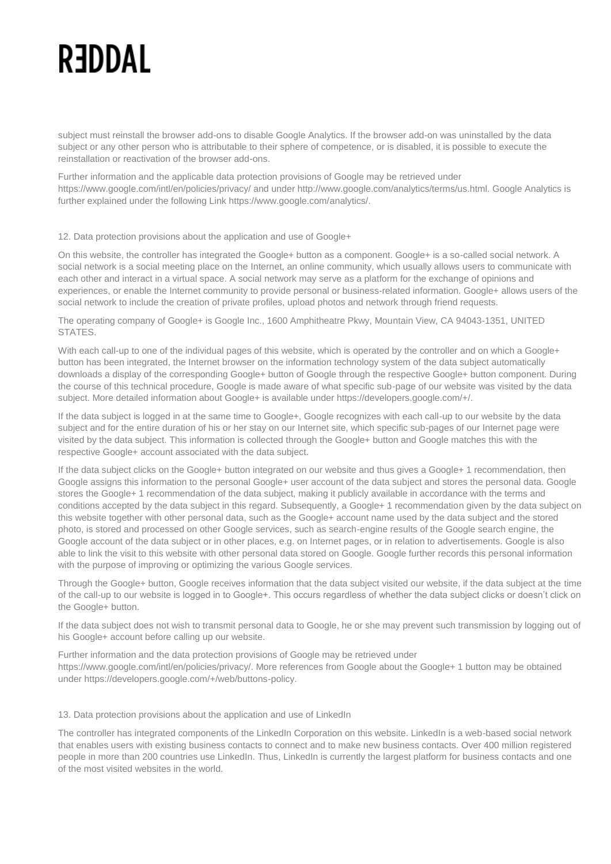subject must reinstall the browser add-ons to disable Google Analytics. If the browser add-on was uninstalled by the data subject or any other person who is attributable to their sphere of competence, or is disabled, it is possible to execute the reinstallation or reactivation of the browser add-ons.

Further information and the applicable data protection provisions of Google may be retrieved under https://www.google.com/intl/en/policies/privacy/ and under http://www.google.com/analytics/terms/us.html. Google Analytics is further explained under the following Link https://www.google.com/analytics/.

## 12. Data protection provisions about the application and use of Google+

On this website, the controller has integrated the Google+ button as a component. Google+ is a so-called social network. A social network is a social meeting place on the Internet, an online community, which usually allows users to communicate with each other and interact in a virtual space. A social network may serve as a platform for the exchange of opinions and experiences, or enable the Internet community to provide personal or business-related information. Google+ allows users of the social network to include the creation of private profiles, upload photos and network through friend requests.

The operating company of Google+ is Google Inc., 1600 Amphitheatre Pkwy, Mountain View, CA 94043-1351, UNITED STATES.

With each call-up to one of the individual pages of this website, which is operated by the controller and on which a Google+ button has been integrated, the Internet browser on the information technology system of the data subject automatically downloads a display of the corresponding Google+ button of Google through the respective Google+ button component. During the course of this technical procedure, Google is made aware of what specific sub-page of our website was visited by the data subject. More detailed information about Google+ is available under https://developers.google.com/+/.

If the data subject is logged in at the same time to Google+, Google recognizes with each call-up to our website by the data subject and for the entire duration of his or her stay on our Internet site, which specific sub-pages of our Internet page were visited by the data subject. This information is collected through the Google+ button and Google matches this with the respective Google+ account associated with the data subject.

If the data subject clicks on the Google+ button integrated on our website and thus gives a Google+ 1 recommendation, then Google assigns this information to the personal Google+ user account of the data subject and stores the personal data. Google stores the Google+ 1 recommendation of the data subject, making it publicly available in accordance with the terms and conditions accepted by the data subject in this regard. Subsequently, a Google+ 1 recommendation given by the data subject on this website together with other personal data, such as the Google+ account name used by the data subject and the stored photo, is stored and processed on other Google services, such as search-engine results of the Google search engine, the Google account of the data subject or in other places, e.g. on Internet pages, or in relation to advertisements. Google is also able to link the visit to this website with other personal data stored on Google. Google further records this personal information with the purpose of improving or optimizing the various Google services.

Through the Google+ button, Google receives information that the data subject visited our website, if the data subject at the time of the call-up to our website is logged in to Google+. This occurs regardless of whether the data subject clicks or doesn't click on the Google+ button.

If the data subject does not wish to transmit personal data to Google, he or she may prevent such transmission by logging out of his Google+ account before calling up our website.

Further information and the data protection provisions of Google may be retrieved under https://www.google.com/intl/en/policies/privacy/. More references from Google about the Google+ 1 button may be obtained under https://developers.google.com/+/web/buttons-policy.

13. Data protection provisions about the application and use of LinkedIn

The controller has integrated components of the LinkedIn Corporation on this website. LinkedIn is a web-based social network that enables users with existing business contacts to connect and to make new business contacts. Over 400 million registered people in more than 200 countries use LinkedIn. Thus, LinkedIn is currently the largest platform for business contacts and one of the most visited websites in the world.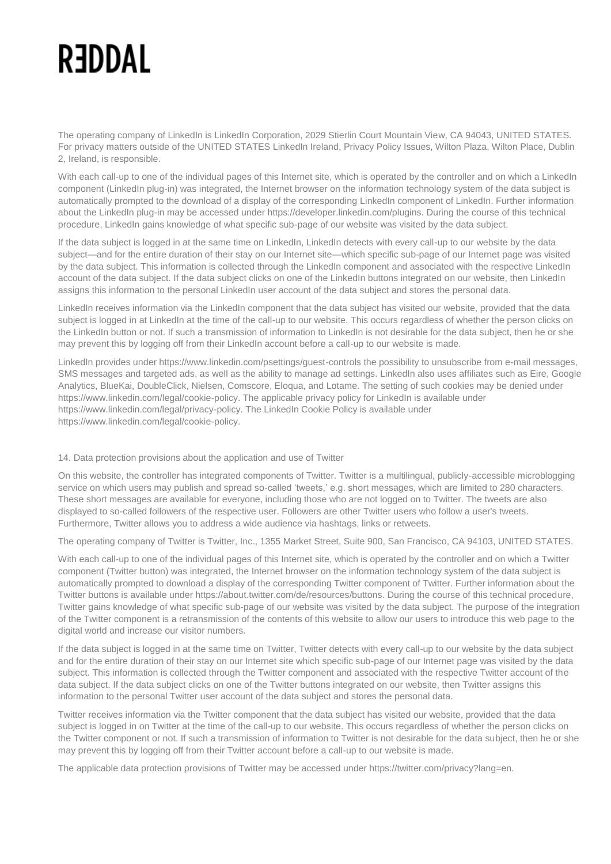The operating company of LinkedIn is LinkedIn Corporation, 2029 Stierlin Court Mountain View, CA 94043, UNITED STATES. For privacy matters outside of the UNITED STATES LinkedIn Ireland, Privacy Policy Issues, Wilton Plaza, Wilton Place, Dublin 2, Ireland, is responsible.

With each call-up to one of the individual pages of this Internet site, which is operated by the controller and on which a LinkedIn component (LinkedIn plug-in) was integrated, the Internet browser on the information technology system of the data subject is automatically prompted to the download of a display of the corresponding LinkedIn component of LinkedIn. Further information about the LinkedIn plug-in may be accessed under https://developer.linkedin.com/plugins. During the course of this technical procedure, LinkedIn gains knowledge of what specific sub-page of our website was visited by the data subject.

If the data subject is logged in at the same time on LinkedIn, LinkedIn detects with every call-up to our website by the data subject—and for the entire duration of their stay on our Internet site—which specific sub-page of our Internet page was visited by the data subject. This information is collected through the LinkedIn component and associated with the respective LinkedIn account of the data subject. If the data subject clicks on one of the LinkedIn buttons integrated on our website, then LinkedIn assigns this information to the personal LinkedIn user account of the data subject and stores the personal data.

LinkedIn receives information via the LinkedIn component that the data subject has visited our website, provided that the data subject is logged in at LinkedIn at the time of the call-up to our website. This occurs regardless of whether the person clicks on the LinkedIn button or not. If such a transmission of information to LinkedIn is not desirable for the data subject, then he or she may prevent this by logging off from their LinkedIn account before a call-up to our website is made.

LinkedIn provides under https://www.linkedin.com/psettings/guest-controls the possibility to unsubscribe from e-mail messages, SMS messages and targeted ads, as well as the ability to manage ad settings. LinkedIn also uses affiliates such as Eire, Google Analytics, BlueKai, DoubleClick, Nielsen, Comscore, Eloqua, and Lotame. The setting of such cookies may be denied under https://www.linkedin.com/legal/cookie-policy. The applicable privacy policy for LinkedIn is available under https://www.linkedin.com/legal/privacy-policy. The LinkedIn Cookie Policy is available under https://www.linkedin.com/legal/cookie-policy.

## 14. Data protection provisions about the application and use of Twitter

On this website, the controller has integrated components of Twitter. Twitter is a multilingual, publicly-accessible microblogging service on which users may publish and spread so-called 'tweets,' e.g. short messages, which are limited to 280 characters. These short messages are available for everyone, including those who are not logged on to Twitter. The tweets are also displayed to so-called followers of the respective user. Followers are other Twitter users who follow a user's tweets. Furthermore, Twitter allows you to address a wide audience via hashtags, links or retweets.

The operating company of Twitter is Twitter, Inc., 1355 Market Street, Suite 900, San Francisco, CA 94103, UNITED STATES.

With each call-up to one of the individual pages of this Internet site, which is operated by the controller and on which a Twitter component (Twitter button) was integrated, the Internet browser on the information technology system of the data subject is automatically prompted to download a display of the corresponding Twitter component of Twitter. Further information about the Twitter buttons is available under https://about.twitter.com/de/resources/buttons. During the course of this technical procedure, Twitter gains knowledge of what specific sub-page of our website was visited by the data subject. The purpose of the integration of the Twitter component is a retransmission of the contents of this website to allow our users to introduce this web page to the digital world and increase our visitor numbers.

If the data subject is logged in at the same time on Twitter, Twitter detects with every call-up to our website by the data subject and for the entire duration of their stay on our Internet site which specific sub-page of our Internet page was visited by the data subject. This information is collected through the Twitter component and associated with the respective Twitter account of the data subject. If the data subject clicks on one of the Twitter buttons integrated on our website, then Twitter assigns this information to the personal Twitter user account of the data subject and stores the personal data.

Twitter receives information via the Twitter component that the data subject has visited our website, provided that the data subject is logged in on Twitter at the time of the call-up to our website. This occurs regardless of whether the person clicks on the Twitter component or not. If such a transmission of information to Twitter is not desirable for the data subject, then he or she may prevent this by logging off from their Twitter account before a call-up to our website is made.

The applicable data protection provisions of Twitter may be accessed under https://twitter.com/privacy?lang=en.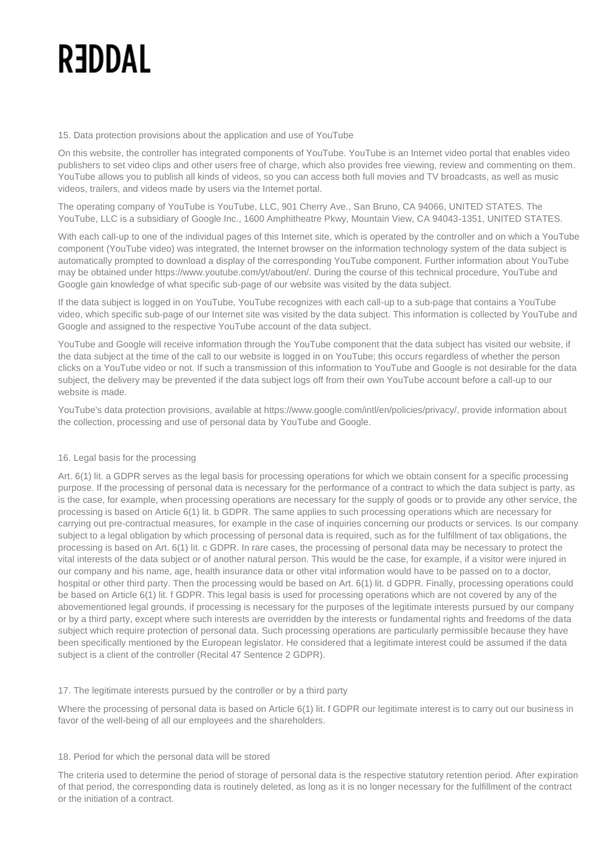### 15. Data protection provisions about the application and use of YouTube

On this website, the controller has integrated components of YouTube. YouTube is an Internet video portal that enables video publishers to set video clips and other users free of charge, which also provides free viewing, review and commenting on them. YouTube allows you to publish all kinds of videos, so you can access both full movies and TV broadcasts, as well as music videos, trailers, and videos made by users via the Internet portal.

The operating company of YouTube is YouTube, LLC, 901 Cherry Ave., San Bruno, CA 94066, UNITED STATES. The YouTube, LLC is a subsidiary of Google Inc., 1600 Amphitheatre Pkwy, Mountain View, CA 94043-1351, UNITED STATES.

With each call-up to one of the individual pages of this Internet site, which is operated by the controller and on which a YouTube component (YouTube video) was integrated, the Internet browser on the information technology system of the data subject is automatically prompted to download a display of the corresponding YouTube component. Further information about YouTube may be obtained under https://www.youtube.com/yt/about/en/. During the course of this technical procedure, YouTube and Google gain knowledge of what specific sub-page of our website was visited by the data subject.

If the data subject is logged in on YouTube, YouTube recognizes with each call-up to a sub-page that contains a YouTube video, which specific sub-page of our Internet site was visited by the data subject. This information is collected by YouTube and Google and assigned to the respective YouTube account of the data subject.

YouTube and Google will receive information through the YouTube component that the data subject has visited our website, if the data subject at the time of the call to our website is logged in on YouTube; this occurs regardless of whether the person clicks on a YouTube video or not. If such a transmission of this information to YouTube and Google is not desirable for the data subject, the delivery may be prevented if the data subject logs off from their own YouTube account before a call-up to our website is made.

YouTube's data protection provisions, available at https://www.google.com/intl/en/policies/privacy/, provide information about the collection, processing and use of personal data by YouTube and Google.

## 16. Legal basis for the processing

Art. 6(1) lit. a GDPR serves as the legal basis for processing operations for which we obtain consent for a specific processing purpose. If the processing of personal data is necessary for the performance of a contract to which the data subject is party, as is the case, for example, when processing operations are necessary for the supply of goods or to provide any other service, the processing is based on Article 6(1) lit. b GDPR. The same applies to such processing operations which are necessary for carrying out pre-contractual measures, for example in the case of inquiries concerning our products or services. Is our company subject to a legal obligation by which processing of personal data is required, such as for the fulfillment of tax obligations, the processing is based on Art. 6(1) lit. c GDPR. In rare cases, the processing of personal data may be necessary to protect the vital interests of the data subject or of another natural person. This would be the case, for example, if a visitor were injured in our company and his name, age, health insurance data or other vital information would have to be passed on to a doctor, hospital or other third party. Then the processing would be based on Art. 6(1) lit. d GDPR. Finally, processing operations could be based on Article 6(1) lit. f GDPR. This legal basis is used for processing operations which are not covered by any of the abovementioned legal grounds, if processing is necessary for the purposes of the legitimate interests pursued by our company or by a third party, except where such interests are overridden by the interests or fundamental rights and freedoms of the data subject which require protection of personal data. Such processing operations are particularly permissible because they have been specifically mentioned by the European legislator. He considered that a legitimate interest could be assumed if the data subject is a client of the controller (Recital 47 Sentence 2 GDPR).

## 17. The legitimate interests pursued by the controller or by a third party

Where the processing of personal data is based on Article 6(1) lit. f GDPR our legitimate interest is to carry out our business in favor of the well-being of all our employees and the shareholders.

## 18. Period for which the personal data will be stored

The criteria used to determine the period of storage of personal data is the respective statutory retention period. After expiration of that period, the corresponding data is routinely deleted, as long as it is no longer necessary for the fulfillment of the contract or the initiation of a contract.